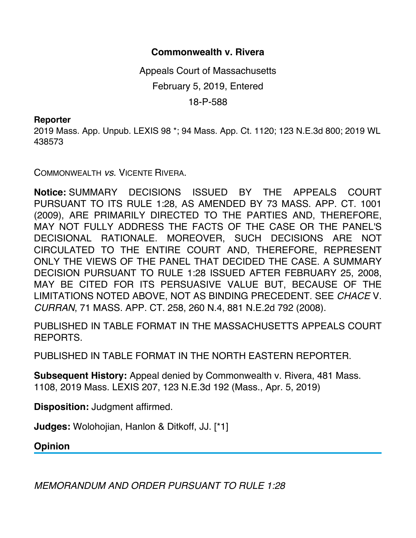## **Commonwealth v. Rivera**

Appeals Court of Massachusetts February 5, 2019, Entered 18-P-588

## **Reporter**

2019 Mass. App. Unpub. LEXIS 98 \*; 94 Mass. App. Ct. 1120; 123 N.E.3d 800; 2019 WL 438573

COMMONWEALTH *vs*. VICENTE RIVERA.

**Notice:** SUMMARY DECISIONS ISSUED BY THE APPEALS COURT PURSUANT TO ITS RULE 1:28, AS AMENDED BY 73 MASS. APP. CT. 1001 (2009), ARE PRIMARILY DIRECTED TO THE PARTIES AND, THEREFORE, MAY NOT FULLY ADDRESS THE FACTS OF THE CASE OR THE PANEL'S DECISIONAL RATIONALE. MOREOVER, SUCH DECISIONS ARE NOT CIRCULATED TO THE ENTIRE COURT AND, THEREFORE, REPRESENT ONLY THE VIEWS OF THE PANEL THAT DECIDED THE CASE. A SUMMARY DECISION PURSUANT TO RULE 1:28 ISSUED AFTER FEBRUARY 25, 2008, MAY BE CITED FOR ITS PERSUASIVE VALUE BUT, BECAUSE OF THE LIMITATIONS NOTED ABOVE, NOT AS BINDING PRECEDENT. SEE *CHACE* V. *CURRAN*, 71 MASS. APP. CT. 258, 260 N.4, 881 N.E.2d 792 (2008).

PUBLISHED IN TABLE FORMAT IN THE MASSACHUSETTS APPEALS COURT REPORTS.

PUBLISHED IN TABLE FORMAT IN THE NORTH EASTERN REPORTER.

**Subsequent History:** Appeal denied by Commonwealth v. Rivera, 481 Mass. 1108, 2019 Mass. LEXIS 207, 123 N.E.3d 192 (Mass., Apr. 5, 2019)

**Disposition:** Judgment affirmed.

**Judges:** Wolohojian, Hanlon & Ditkoff, JJ. [\*1]

**Opinion**

*MEMORANDUM AND ORDER PURSUANT TO RULE 1:28*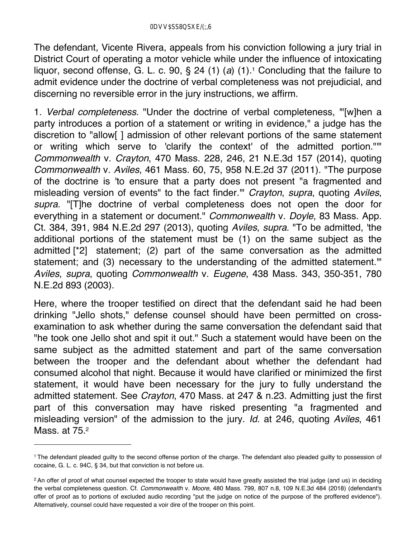The defendant, Vicente Rivera, appeals from his conviction following a jury trial in District Court of operating a motor vehicle while under the influence of intoxicating liquor, second offense, G. L. c. 90, § 24 (1) (*a*) (1).1 Concluding that the failure to admit evidence under the doctrine of verbal completeness was not prejudicial, and discerning no reversible error in the jury instructions, we affirm.

1. *Verbal completeness*. "Under the doctrine of verbal completeness, '"[w]hen a party introduces a portion of a statement or writing in evidence," a judge has the discretion to "allow[ ] admission of other relevant portions of the same statement or writing which serve to 'clarify the context' of the admitted portion."'" *Commonwealth* v. *Crayton*, 470 Mass. 228, 246, 21 N.E.3d 157 (2014), quoting *Commonwealth* v. *Aviles*, 461 Mass. 60, 75, 958 N.E.2d 37 (2011). "The purpose of the doctrine is 'to ensure that a party does not present "a fragmented and misleading version of events" to the fact finder.'" *Crayton*, *supra*, quoting *Aviles*, *supra*. "[T]he doctrine of verbal completeness does not open the door for everything in a statement or document." *Commonwealth* v. *Doyle*, 83 Mass. App. Ct. 384, 391, 984 N.E.2d 297 (2013), quoting *Aviles*, *supra*. "To be admitted, 'the additional portions of the statement must be (1) on the same subject as the admitted [\*2] statement; (2) part of the same conversation as the admitted statement; and (3) necessary to the understanding of the admitted statement.'" *Aviles*, *supra*, quoting *Commonwealth* v. *Eugene*, 438 Mass. 343, 350-351, 780 N.E.2d 893 (2003).

Here, where the trooper testified on direct that the defendant said he had been drinking "Jello shots," defense counsel should have been permitted on crossexamination to ask whether during the same conversation the defendant said that "he took one Jello shot and spit it out." Such a statement would have been on the same subject as the admitted statement and part of the same conversation between the trooper and the defendant about whether the defendant had consumed alcohol that night. Because it would have clarified or minimized the first statement, it would have been necessary for the jury to fully understand the admitted statement. See *Crayton*, 470 Mass. at 247 & n.23. Admitting just the first part of this conversation may have risked presenting "a fragmented and misleading version" of the admission to the jury. *Id.* at 246, quoting *Aviles*, 461 Mass. at 75.2

<sup>1</sup> The defendant pleaded guilty to the second offense portion of the charge. The defendant also pleaded guilty to possession of cocaine, G. L. c. 94C, § 34, but that conviction is not before us.

<sup>&</sup>lt;sup>2</sup> An offer of proof of what counsel expected the trooper to state would have greatly assisted the trial judge (and us) in deciding the verbal completeness question. Cf. *Commonwealth* v. *Moore*, 480 Mass. 799, 807 n.8, 109 N.E.3d 484 (2018) (defendant's offer of proof as to portions of excluded audio recording "put the judge on notice of the purpose of the proffered evidence"). Alternatively, counsel could have requested a voir dire of the trooper on this point.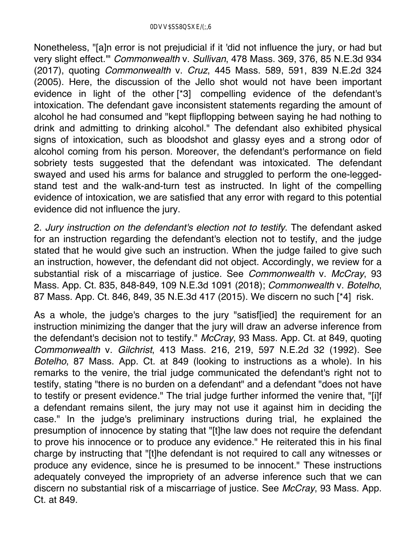Nonetheless, "[a]n error is not prejudicial if it 'did not influence the jury, or had but very slight effect.'" *Commonwealth* v. *Sullivan*, 478 Mass. 369, 376, 85 N.E.3d 934 (2017), quoting *Commonwealth* v. *Cruz*, 445 Mass. 589, 591, 839 N.E.2d 324 (2005). Here, the discussion of the Jello shot would not have been important evidence in light of the other [\*3] compelling evidence of the defendant's intoxication. The defendant gave inconsistent statements regarding the amount of alcohol he had consumed and "kept flipflopping between saying he had nothing to drink and admitting to drinking alcohol." The defendant also exhibited physical signs of intoxication, such as bloodshot and glassy eyes and a strong odor of alcohol coming from his person. Moreover, the defendant's performance on field sobriety tests suggested that the defendant was intoxicated. The defendant swayed and used his arms for balance and struggled to perform the one-leggedstand test and the walk-and-turn test as instructed. In light of the compelling evidence of intoxication, we are satisfied that any error with regard to this potential evidence did not influence the jury.

2. *Jury instruction on the defendant's election not to testify*. The defendant asked for an instruction regarding the defendant's election not to testify, and the judge stated that he would give such an instruction. When the judge failed to give such an instruction, however, the defendant did not object. Accordingly, we review for a substantial risk of a miscarriage of justice. See *Commonwealth* v. *McCray*, 93 Mass. App. Ct. 835, 848-849, 109 N.E.3d 1091 (2018); *Commonwealth* v. *Botelho*, 87 Mass. App. Ct. 846, 849, 35 N.E.3d 417 (2015). We discern no such [\*4] risk.

As a whole, the judge's charges to the jury "satisf[ied] the requirement for an instruction minimizing the danger that the jury will draw an adverse inference from the defendant's decision not to testify." *McCray*, 93 Mass. App. Ct. at 849, quoting *Commonwealth* v. *Gilchrist*, 413 Mass. 216, 219, 597 N.E.2d 32 (1992). See *Botelho*, 87 Mass. App. Ct. at 849 (looking to instructions as a whole). In his remarks to the venire, the trial judge communicated the defendant's right not to testify, stating "there is no burden on a defendant" and a defendant "does not have to testify or present evidence." The trial judge further informed the venire that, "[i]f a defendant remains silent, the jury may not use it against him in deciding the case." In the judge's preliminary instructions during trial, he explained the presumption of innocence by stating that "[t]he law does not require the defendant to prove his innocence or to produce any evidence." He reiterated this in his final charge by instructing that "[t]he defendant is not required to call any witnesses or produce any evidence, since he is presumed to be innocent." These instructions adequately conveyed the impropriety of an adverse inference such that we can discern no substantial risk of a miscarriage of justice. See *McCray*, 93 Mass. App. Ct. at 849.